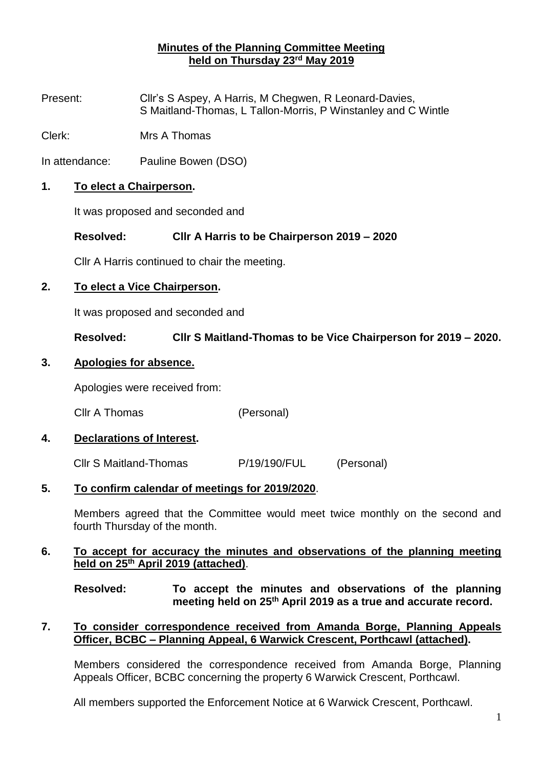# **Minutes of the Planning Committee Meeting held on Thursday 23 rd May 2019**

Present: Cllr's S Aspey, A Harris, M Chegwen, R Leonard-Davies, S Maitland-Thomas, L Tallon-Morris, P Winstanley and C Wintle

Clerk: Mrs A Thomas

In attendance: Pauline Bowen (DSO)

#### **1. To elect a Chairperson.**

It was proposed and seconded and

## **Resolved: Cllr A Harris to be Chairperson 2019 – 2020**

Cllr A Harris continued to chair the meeting.

## **2. To elect a Vice Chairperson.**

It was proposed and seconded and

**Resolved: Cllr S Maitland-Thomas to be Vice Chairperson for 2019 – 2020.**

#### **3. Apologies for absence.**

Apologies were received from:

Cllr A Thomas (Personal)

# **4. Declarations of Interest.**

Cllr S Maitland-Thomas P/19/190/FUL (Personal)

#### **5. To confirm calendar of meetings for 2019/2020**.

Members agreed that the Committee would meet twice monthly on the second and fourth Thursday of the month.

#### **6. To accept for accuracy the minutes and observations of the planning meeting held on 25th April 2019 (attached)**.

**Resolved: To accept the minutes and observations of the planning meeting held on 25th April 2019 as a true and accurate record.**

## **7. To consider correspondence received from Amanda Borge, Planning Appeals Officer, BCBC – Planning Appeal, 6 Warwick Crescent, Porthcawl (attached).**

Members considered the correspondence received from Amanda Borge, Planning Appeals Officer, BCBC concerning the property 6 Warwick Crescent, Porthcawl.

All members supported the Enforcement Notice at 6 Warwick Crescent, Porthcawl.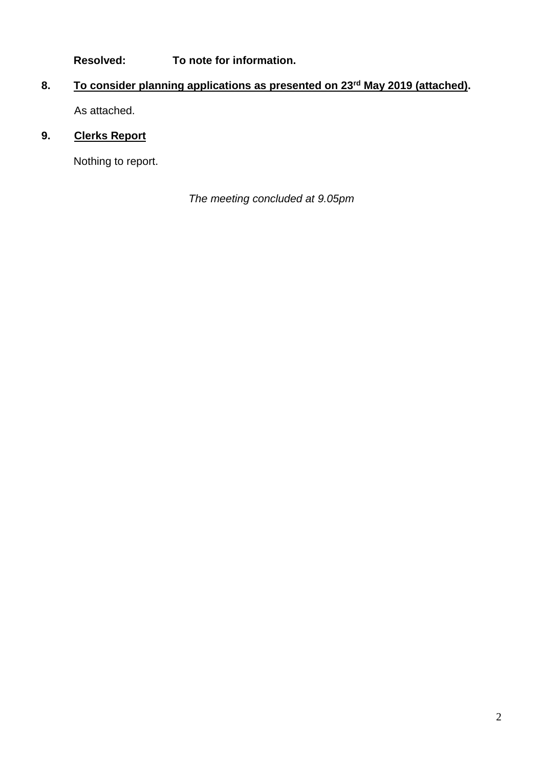**Resolved: To note for information.**

# **8. To consider planning applications as presented on 23rd May 2019 (attached).** As attached.

# **9. Clerks Report**

Nothing to report.

*The meeting concluded at 9.05pm*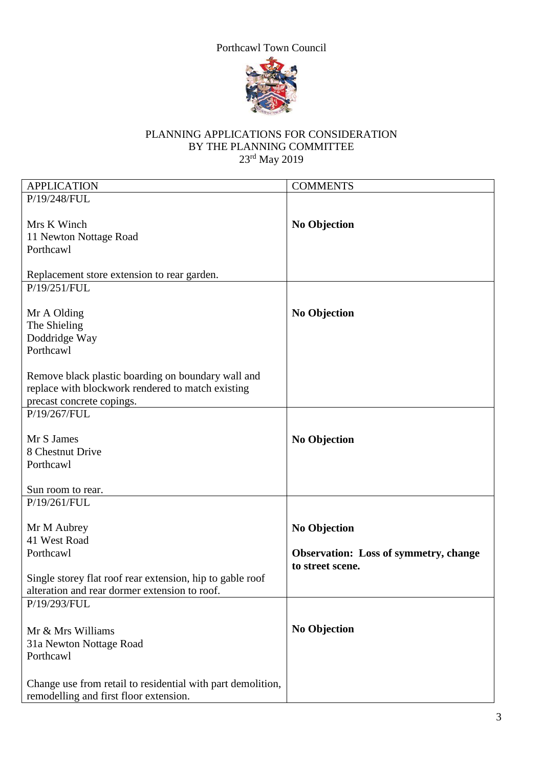# Porthcawl Town Council



# PLANNING APPLICATIONS FOR CONSIDERATION BY THE PLANNING COMMITTEE 23<sup>rd</sup> May 2019

| <b>APPLICATION</b>                                          | <b>COMMENTS</b>                              |
|-------------------------------------------------------------|----------------------------------------------|
| P/19/248/FUL                                                |                                              |
|                                                             |                                              |
| Mrs K Winch                                                 | <b>No Objection</b>                          |
| 11 Newton Nottage Road                                      |                                              |
| Porthcawl                                                   |                                              |
|                                                             |                                              |
| Replacement store extension to rear garden.                 |                                              |
| P/19/251/FUL                                                |                                              |
|                                                             |                                              |
| Mr A Olding                                                 | <b>No Objection</b>                          |
| The Shieling                                                |                                              |
| Doddridge Way                                               |                                              |
| Porthcawl                                                   |                                              |
|                                                             |                                              |
| Remove black plastic boarding on boundary wall and          |                                              |
| replace with blockwork rendered to match existing           |                                              |
| precast concrete copings.                                   |                                              |
| P/19/267/FUL                                                |                                              |
|                                                             |                                              |
| Mr S James                                                  | <b>No Objection</b>                          |
| 8 Chestnut Drive                                            |                                              |
| Porthcawl                                                   |                                              |
|                                                             |                                              |
| Sun room to rear.                                           |                                              |
| P/19/261/FUL                                                |                                              |
|                                                             |                                              |
| Mr M Aubrey                                                 | <b>No Objection</b>                          |
| 41 West Road                                                |                                              |
| Porthcawl                                                   | <b>Observation:</b> Loss of symmetry, change |
|                                                             | to street scene.                             |
| Single storey flat roof rear extension, hip to gable roof   |                                              |
| alteration and rear dormer extension to roof.               |                                              |
| P/19/293/FUL                                                |                                              |
|                                                             |                                              |
| Mr & Mrs Williams                                           | <b>No Objection</b>                          |
| 31a Newton Nottage Road                                     |                                              |
| Porthcawl                                                   |                                              |
|                                                             |                                              |
| Change use from retail to residential with part demolition, |                                              |
| remodelling and first floor extension.                      |                                              |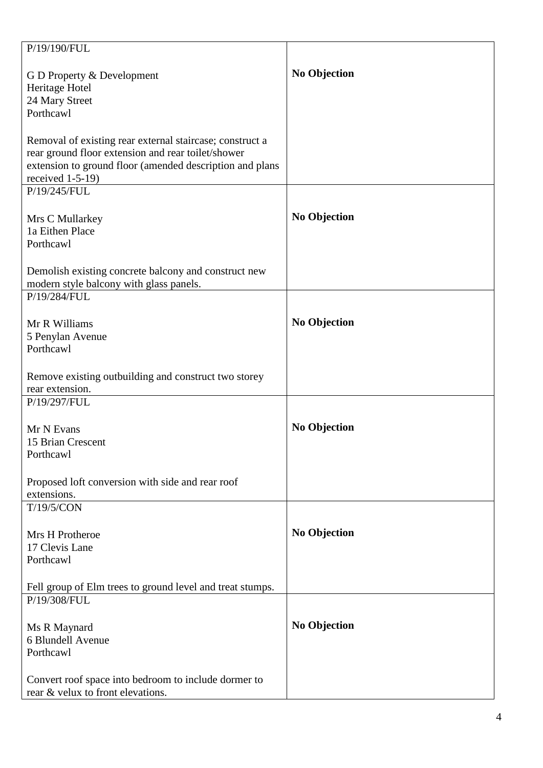| P/19/190/FUL                                              |                     |
|-----------------------------------------------------------|---------------------|
|                                                           |                     |
| G D Property & Development                                | <b>No Objection</b> |
| Heritage Hotel<br>24 Mary Street                          |                     |
| Porthcawl                                                 |                     |
|                                                           |                     |
| Removal of existing rear external staircase; construct a  |                     |
| rear ground floor extension and rear toilet/shower        |                     |
| extension to ground floor (amended description and plans  |                     |
| received $1-5-19$ )                                       |                     |
| P/19/245/FUL                                              |                     |
|                                                           |                     |
| Mrs C Mullarkey                                           | <b>No Objection</b> |
| 1a Eithen Place                                           |                     |
| Porthcawl                                                 |                     |
| Demolish existing concrete balcony and construct new      |                     |
| modern style balcony with glass panels.                   |                     |
| P/19/284/FUL                                              |                     |
|                                                           |                     |
| Mr R Williams                                             | <b>No Objection</b> |
| 5 Penylan Avenue                                          |                     |
| Porthcawl                                                 |                     |
|                                                           |                     |
| Remove existing outbuilding and construct two storey      |                     |
| rear extension.                                           |                     |
| P/19/297/FUL                                              |                     |
| Mr N Evans                                                | <b>No Objection</b> |
| 15 Brian Crescent                                         |                     |
| Porthcawl                                                 |                     |
|                                                           |                     |
| Proposed loft conversion with side and rear roof          |                     |
| extensions.                                               |                     |
| T/19/5/CON                                                |                     |
|                                                           |                     |
| Mrs H Protheroe                                           | <b>No Objection</b> |
| 17 Clevis Lane                                            |                     |
| Porthcawl                                                 |                     |
| Fell group of Elm trees to ground level and treat stumps. |                     |
| P/19/308/FUL                                              |                     |
|                                                           |                     |
| Ms R Maynard                                              | <b>No Objection</b> |
| 6 Blundell Avenue                                         |                     |
| Porthcawl                                                 |                     |
|                                                           |                     |
| Convert roof space into bedroom to include dormer to      |                     |
| rear & velux to front elevations.                         |                     |